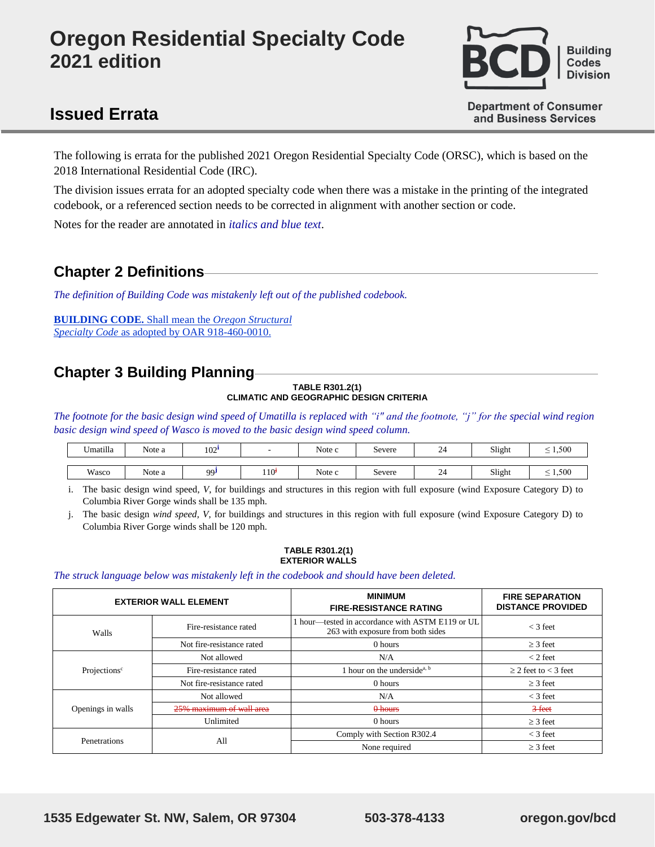# **Oregon Residential Specialty Code 2021 edition**



# **Issued Errata**

**Department of Consumer** and Business Services

The following is errata for the published 2021 Oregon Residential Specialty Code (ORSC), which is based on the 2018 International Residential Code (IRC).

The division issues errata for an adopted specialty code when there was a mistake in the printing of the integrated codebook, or a referenced section needs to be corrected in alignment with another section or code.

Notes for the reader are annotated in *italics and blue text*.

### **Chapter 2 Definitions**

*The definition of Building Code was mistakenly left out of the published codebook.*

**BUILDING CODE.** Shall mean the *Oregon Structural Specialty Code* as adopted by OAR 918-460-0010.

# **Chapter 3 Building Planning**

#### **TABLE R301.2(1) CLIMATIC AND GEOGRAPHIC DESIGN CRITERIA**

*The footnote for the basic design wind speed of Umatilla is replaced with "i" and the footnote, "j" for the special wind region basic design wind speed of Wasco is moved to the basic design wind speed column.*

| Umatilla<br>$\mathbf{v}$ | Note a | 102       |                  | Note c | Severe | $\sim$<br>ىر | Slight | 1,500<br>$\hspace{0.05cm}$ |
|--------------------------|--------|-----------|------------------|--------|--------|--------------|--------|----------------------------|
|                          |        |           |                  |        |        |              |        |                            |
| Wasco                    | Note a | <b>QQ</b> | 110 <sup>†</sup> | Note c | Severe | $\sim$<br>4  | Slight | 1,500<br>$\hspace{0.05cm}$ |

i. The basic design wind speed, *V*, for buildings and structures in this region with full exposure (wind Exposure Category D) to Columbia River Gorge winds shall be 135 mph.

j. The basic design *wind speed, V*, for buildings and structures in this region with full exposure (wind Exposure Category D) to Columbia River Gorge winds shall be 120 mph.

#### **TABLE R301.2(1) EXTERIOR WALLS**

#### *The struck language below was mistakenly left in the codebook and should have been deleted.*

|                          | <b>EXTERIOR WALL ELEMENT</b> | <b>MINIMUM</b><br><b>FIRE-RESISTANCE RATING</b>                                     | <b>FIRE SEPARATION</b><br><b>DISTANCE PROVIDED</b> |  |
|--------------------------|------------------------------|-------------------------------------------------------------------------------------|----------------------------------------------------|--|
| Walls                    | Fire-resistance rated        | hour—tested in accordance with ASTM E119 or UL<br>263 with exposure from both sides | $<$ 3 feet                                         |  |
|                          | Not fire-resistance rated    | 0 hours                                                                             | $>$ 3 feet                                         |  |
|                          | Not allowed                  | N/A                                                                                 | $<$ 2 feet                                         |  |
| Projections <sup>c</sup> | Fire-resistance rated        | 1 hour on the underside <sup>a, b</sup>                                             | $\geq$ 2 feet to < 3 feet                          |  |
|                          | Not fire-resistance rated    | 0 hours                                                                             | $\geq$ 3 feet                                      |  |
|                          | Not allowed                  | N/A                                                                                 | $<$ 3 feet                                         |  |
| Openings in walls        | 25% maximum of wall area     | 0 hours                                                                             | $3$ feet                                           |  |
|                          | Unlimited                    | 0 hours                                                                             | $>$ 3 feet                                         |  |
|                          |                              | Comply with Section R302.4                                                          | $<$ 3 feet                                         |  |
| Penetrations             | All                          | None required                                                                       | $\geq$ 3 feet                                      |  |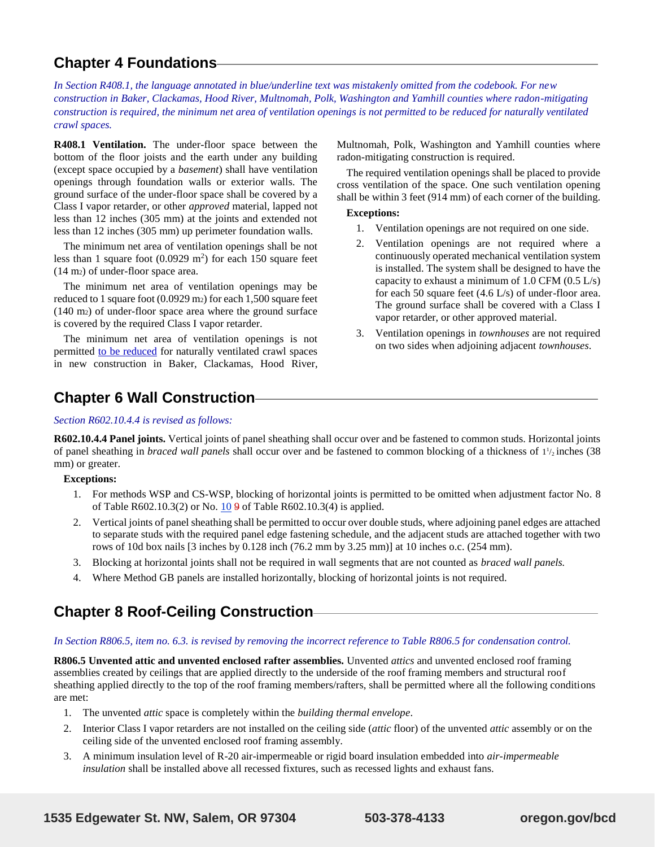## **Chapter 4 Foundations**

*In Section R408.1, the language annotated in blue/underline text was mistakenly omitted from the codebook. For new construction in Baker, Clackamas, Hood River, Multnomah, Polk, Washington and Yamhill counties where radon-mitigating construction is required, the minimum net area of ventilation openings is not permitted to be reduced for naturally ventilated crawl spaces.*

**R408.1 Ventilation.** The under-floor space between the bottom of the floor joists and the earth under any building (except space occupied by a *basement*) shall have ventilation openings through foundation walls or exterior walls. The ground surface of the under-floor space shall be covered by a Class I vapor retarder, or other *approved* material, lapped not less than 12 inches (305 mm) at the joints and extended not less than 12 inches (305 mm) up perimeter foundation walls.

The minimum net area of ventilation openings shall be not less than 1 square foot  $(0.0929 \text{ m}^2)$  for each 150 square feet (14 m2) of under-floor space area.

The minimum net area of ventilation openings may be reduced to 1 square foot (0.0929 m2) for each 1,500 square feet (140 m2) of under-floor space area where the ground surface is covered by the required Class I vapor retarder.

The minimum net area of ventilation openings is not permitted to be reduced for naturally ventilated crawl spaces in new construction in Baker, Clackamas, Hood River, Multnomah, Polk, Washington and Yamhill counties where radon-mitigating construction is required.

The required ventilation openings shall be placed to provide cross ventilation of the space. One such ventilation opening shall be within 3 feet (914 mm) of each corner of the building.

#### **Exceptions:**

- 1. Ventilation openings are not required on one side.
- 2. Ventilation openings are not required where a continuously operated mechanical ventilation system is installed. The system shall be designed to have the capacity to exhaust a minimum of  $1.0$  CFM  $(0.5 \text{ L/s})$ for each 50 square feet  $(4.6 \text{ L/s})$  of under-floor area. The ground surface shall be covered with a Class I vapor retarder, or other approved material.
- 3. Ventilation openings in *townhouses* are not required on two sides when adjoining adjacent *townhouses*.

### **Chapter 6 Wall Construction**

#### *Section R602.10.4.4 is revised as follows:*

**R602.10.4.4 Panel joints.** Vertical joints of panel sheathing shall occur over and be fastened to common studs. Horizontal joints of panel sheathing in *braced wall panels* shall occur over and be fastened to common blocking of a thickness of  $1\frac{1}{2}$  inches (38) mm) or greater.

#### **Exceptions:**

- 1. For methods WSP and CS-WSP, blocking of horizontal joints is permitted to be omitted when adjustment factor No. 8 of Table R602.10.3(2) or No. 10 9 of Table R602.10.3(4) is applied.
- 2. Vertical joints of panel sheathing shall be permitted to occur over double studs, where adjoining panel edges are attached to separate studs with the required panel edge fastening schedule, and the adjacent studs are attached together with two rows of 10d box nails [3 inches by 0.128 inch (76.2 mm by 3.25 mm)] at 10 inches o.c. (254 mm).
- 3. Blocking at horizontal joints shall not be required in wall segments that are not counted as *braced wall panels.*
- 4. Where Method GB panels are installed horizontally, blocking of horizontal joints is not required.

## **Chapter 8 Roof-Ceiling Construction**

#### *In Section R806.5, item no. 6.3. is revised by removing the incorrect reference to Table R806.5 for condensation control.*

**R806.5 Unvented attic and unvented enclosed rafter assemblies.** Unvented *attics* and unvented enclosed roof framing assemblies created by ceilings that are applied directly to the underside of the roof framing members and structural roof sheathing applied directly to the top of the roof framing members/rafters, shall be permitted where all the following conditions are met:

- 1. The unvented *attic* space is completely within the *building thermal envelope*.
- 2. Interior Class I vapor retarders are not installed on the ceiling side (*attic* floor) of the unvented *attic* assembly or on the ceiling side of the unvented enclosed roof framing assembly.
- 3. A minimum insulation level of R-20 air-impermeable or rigid board insulation embedded into *air-impermeable insulation* shall be installed above all recessed fixtures, such as recessed lights and exhaust fans.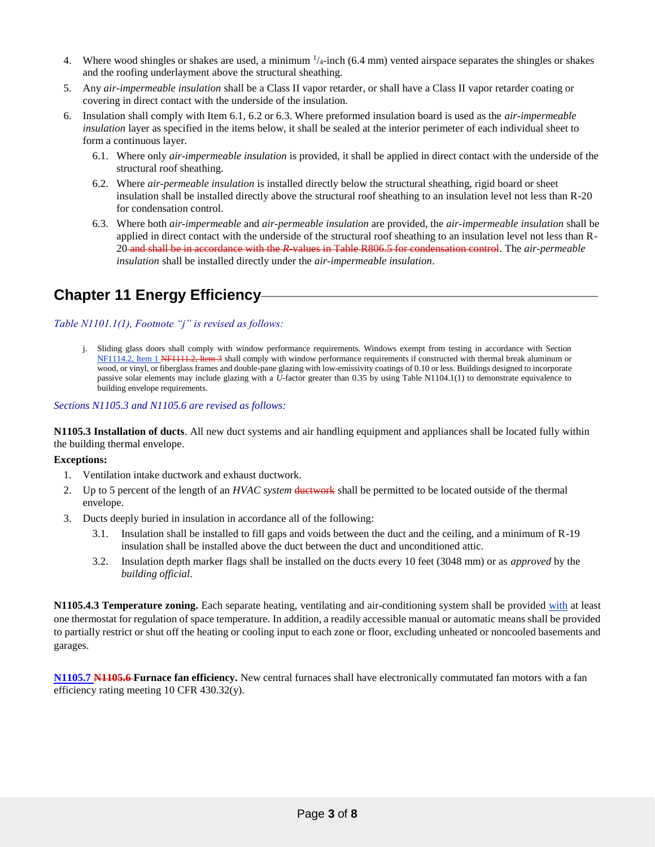- 4. Where wood shingles or shakes are used, a minimum  $\frac{1}{4}$ -inch (6.4 mm) vented airspace separates the shingles or shakes and the roofing underlayment above the structural sheathing.
- 5. Any *air-impermeable insulation* shall be a Class II vapor retarder, or shall have a Class II vapor retarder coating or covering in direct contact with the underside of the insulation.
- 6. Insulation shall comply with Item 6.1, 6.2 or 6.3. Where preformed insulation board is used as the *air-impermeable insulation* layer as specified in the items below, it shall be sealed at the interior perimeter of each individual sheet to form a continuous layer.
	- 6.1. Where only *air-impermeable insulation* is provided, it shall be applied in direct contact with the underside of the structural roof sheathing.
	- 6.2. Where *air-permeable insulation* is installed directly below the structural sheathing, rigid board or sheet insulation shall be installed directly above the structural roof sheathing to an insulation level not less than R-20 for condensation control.
	- 6.3. Where both *air-impermeable* and *air-permeable insulation* are provided, the *air-impermeable insulation* shall be applied in direct contact with the underside of the structural roof sheathing to an insulation level not less than R-20 and shall be in accordance with the *R*-values in Table R806.5 for condensation control. The *air-permeable insulation* shall be installed directly under the *air-impermeable insulation*.

# **Chapter 11 Energy Efficiency**

#### *Table N1101.1(1), Footnote "j" is revised as follows:*

j. Sliding glass doors shall comply with window performance requirements. Windows exempt from testing in accordance with Section NF1114.2, Item 1 NF1111.2, Item 3 shall comply with window performance requirements if constructed with thermal break aluminum or wood, or vinyl, or fiberglass frames and double-pane glazing with low-emissivity coatings of 0.10 or less. Buildings designed to incorporate passive solar elements may include glazing with a *U-*factor greater than 0.35 by using Table N1104.1(1) to demonstrate equivalence to building envelope requirements.

#### *Sections N1105.3 and N1105.6 are revised as follows:*

**N1105.3 Installation of ducts**. All new duct systems and air handling equipment and appliances shall be located fully within the building thermal envelope.

#### **Exceptions:**

- 1. Ventilation intake ductwork and exhaust ductwork.
- 2. Up to 5 percent of the length of an *HVAC system* ductwork shall be permitted to be located outside of the thermal envelope.
- 3. Ducts deeply buried in insulation in accordance all of the following:
	- 3.1. Insulation shall be installed to fill gaps and voids between the duct and the ceiling, and a minimum of R-19 insulation shall be installed above the duct between the duct and unconditioned attic.
	- 3.2. Insulation depth marker flags shall be installed on the ducts every 10 feet (3048 mm) or as *approved* by the *building official*.

**N1105.4.3 Temperature zoning.** Each separate heating, ventilating and air-conditioning system shall be provided with at least one thermostat for regulation of space temperature. In addition, a readily accessible manual or automatic means shall be provided to partially restrict or shut off the heating or cooling input to each zone or floor, excluding unheated or noncooled basements and garages.

**N1105.7 N1105.6 Furnace fan efficiency.** New central furnaces shall have electronically commutated fan motors with a fan efficiency rating meeting 10 CFR 430.32(y).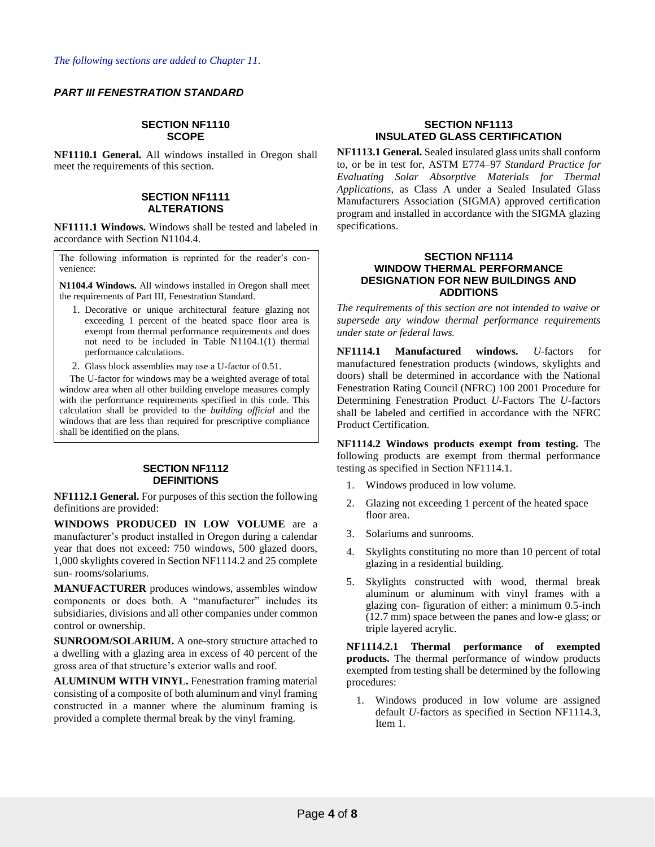#### *PART III FENESTRATION STANDARD*

#### **SECTION NF1110 SCOPE**

**NF1110.1 General.** All windows installed in Oregon shall meet the requirements of this section.

#### **SECTION NF1111 ALTERATIONS**

**NF1111.1 Windows.** Windows shall be tested and labeled in accordance with Section N1104.4.

The following information is reprinted for the reader's convenience:

**N1104.4 Windows.** All windows installed in Oregon shall meet the requirements of Part III, Fenestration Standard.

- 1. Decorative or unique architectural feature glazing not exceeding 1 percent of the heated space floor area is exempt from thermal performance requirements and does not need to be included in Table N1104.1(1) thermal performance calculations.
- 2. Glass block assemblies may use a U-factor of 0.51.

The U-factor for windows may be a weighted average of total window area when all other building envelope measures comply with the performance requirements specified in this code. This calculation shall be provided to the *building official* and the windows that are less than required for prescriptive compliance shall be identified on the plans.

#### **SECTION NF1112 DEFINITIONS**

**NF1112.1 General.** For purposes of this section the following definitions are provided:

**WINDOWS PRODUCED IN LOW VOLUME** are a manufacturer's product installed in Oregon during a calendar year that does not exceed: 750 windows, 500 glazed doors, 1,000 skylights covered in Section NF1114.2 and 25 complete sun- rooms/solariums.

**MANUFACTURER** produces windows, assembles window components or does both. A "manufacturer" includes its subsidiaries, divisions and all other companies under common control or ownership.

**SUNROOM/SOLARIUM.** A one-story structure attached to a dwelling with a glazing area in excess of 40 percent of the gross area of that structure's exterior walls and roof.

**ALUMINUM WITH VINYL.** Fenestration framing material consisting of a composite of both aluminum and vinyl framing constructed in a manner where the aluminum framing is provided a complete thermal break by the vinyl framing.

#### **SECTION NF1113 INSULATED GLASS CERTIFICATION**

**NF1113.1 General.** Sealed insulated glass units shall conform to, or be in test for, ASTM E774–97 *Standard Practice for Evaluating Solar Absorptive Materials for Thermal Applications*, as Class A under a Sealed Insulated Glass Manufacturers Association (SIGMA) approved certification program and installed in accordance with the SIGMA glazing specifications.

#### **SECTION NF1114 WINDOW THERMAL PERFORMANCE DESIGNATION FOR NEW BUILDINGS AND ADDITIONS**

*The requirements of this section are not intended to waive or supersede any window thermal performance requirements under state or federal laws.*

**NF1114.1 Manufactured windows.** *U*-factors for manufactured fenestration products (windows, skylights and doors) shall be determined in accordance with the National Fenestration Rating Council (NFRC) 100 2001 Procedure for Determining Fenestration Product *U*-Factors The *U*-factors shall be labeled and certified in accordance with the NFRC Product Certification.

**NF1114.2 Windows products exempt from testing.** The following products are exempt from thermal performance testing as specified in Section NF1114.1.

- 1. Windows produced in low volume.
- 2. Glazing not exceeding 1 percent of the heated space floor area.
- 3. Solariums and sunrooms.
- 4. Skylights constituting no more than 10 percent of total glazing in a residential building.
- 5. Skylights constructed with wood, thermal break aluminum or aluminum with vinyl frames with a glazing con- figuration of either: a minimum 0.5-inch (12.7 mm) space between the panes and low-e glass; or triple layered acrylic.

**NF1114.2.1 Thermal performance of exempted products.** The thermal performance of window products exempted from testing shall be determined by the following procedures:

1. Windows produced in low volume are assigned default *U*-factors as specified in Section NF1114.3, Item 1.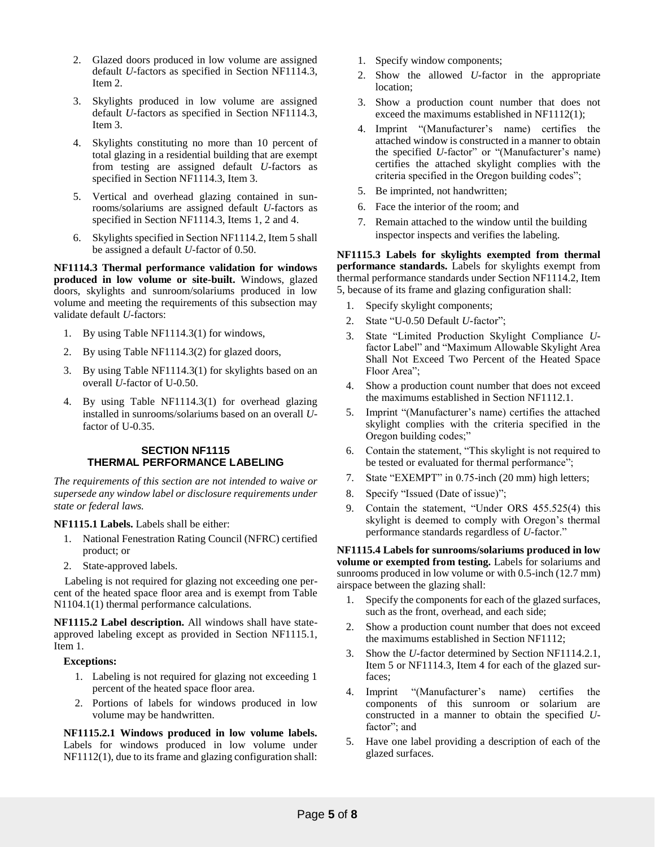- 2. Glazed doors produced in low volume are assigned default *U*-factors as specified in Section NF1114.3, Item 2.
- 3. Skylights produced in low volume are assigned default *U*-factors as specified in Section NF1114.3, Item 3.
- 4. Skylights constituting no more than 10 percent of total glazing in a residential building that are exempt from testing are assigned default *U*-factors as specified in Section NF1114.3, Item 3.
- 5. Vertical and overhead glazing contained in sunrooms/solariums are assigned default *U*-factors as specified in Section NF1114.3, Items 1, 2 and 4.
- 6. Skylights specified in Section NF1114.2, Item 5 shall be assigned a default *U*-factor of 0.50.

**NF1114.3 Thermal performance validation for windows produced in low volume or site-built.** Windows, glazed doors, skylights and sunroom/solariums produced in low volume and meeting the requirements of this subsection may validate default *U*-factors:

- 1. By using Table NF1114.3(1) for windows,
- 2. By using Table NF1114.3(2) for glazed doors,
- 3. By using Table NF1114.3(1) for skylights based on an overall *U*-factor of U-0.50.
- 4. By using Table NF1114.3(1) for overhead glazing installed in sunrooms/solariums based on an overall *U*factor of U-0.35.

#### **SECTION NF1115 THERMAL PERFORMANCE LABELING**

*The requirements of this section are not intended to waive or supersede any window label or disclosure requirements under state or federal laws.*

#### **NF1115.1 Labels.** Labels shall be either:

- 1. National Fenestration Rating Council (NFRC) certified product; or
- 2. State-approved labels.

Labeling is not required for glazing not exceeding one percent of the heated space floor area and is exempt from Table N1104.1(1) thermal performance calculations.

**NF1115.2 Label description.** All windows shall have stateapproved labeling except as provided in Section NF1115.1, Item 1.

#### **Exceptions:**

- 1. Labeling is not required for glazing not exceeding 1 percent of the heated space floor area.
- 2. Portions of labels for windows produced in low volume may be handwritten.

**NF1115.2.1 Windows produced in low volume labels.**  Labels for windows produced in low volume under NF1112(1), due to its frame and glazing configuration shall:

- 1. Specify window components;
- 2. Show the allowed *U*-factor in the appropriate location;
- 3. Show a production count number that does not exceed the maximums established in NF1112(1);
- 4. Imprint "(Manufacturer's name) certifies the attached window is constructed in a manner to obtain the specified *U*-factor" or "(Manufacturer's name) certifies the attached skylight complies with the criteria specified in the Oregon building codes";
- 5. Be imprinted, not handwritten;
- 6. Face the interior of the room; and
- 7. Remain attached to the window until the building inspector inspects and verifies the labeling.

**NF1115.3 Labels for skylights exempted from thermal performance standards.** Labels for skylights exempt from thermal performance standards under Section NF1114.2, Item 5, because of its frame and glazing configuration shall:

- 1. Specify skylight components;
- 2. State "U-0.50 Default *U*-factor";
- 3. State "Limited Production Skylight Compliance *U*factor Label" and "Maximum Allowable Skylight Area Shall Not Exceed Two Percent of the Heated Space Floor Area";
- 4. Show a production count number that does not exceed the maximums established in Section NF1112.1.
- 5. Imprint "(Manufacturer's name) certifies the attached skylight complies with the criteria specified in the Oregon building codes;"
- 6. Contain the statement, "This skylight is not required to be tested or evaluated for thermal performance";
- 7. State "EXEMPT" in 0.75-inch (20 mm) high letters;
- 8. Specify "Issued (Date of issue)";
- 9. Contain the statement, "Under ORS 455.525(4) this skylight is deemed to comply with Oregon's thermal performance standards regardless of *U*-factor."

**NF1115.4 Labels for sunrooms/solariums produced in low volume or exempted from testing.** Labels for solariums and sunrooms produced in low volume or with 0.5-inch (12.7 mm) airspace between the glazing shall:

- 1. Specify the components for each of the glazed surfaces, such as the front, overhead, and each side;
- 2. Show a production count number that does not exceed the maximums established in Section NF1112;
- 3. Show the *U*-factor determined by Section NF1114.2.1, Item 5 or NF1114.3, Item 4 for each of the glazed surfaces;
- 4. Imprint "(Manufacturer's name) certifies the components of this sunroom or solarium are constructed in a manner to obtain the specified *U*factor"; and
- 5. Have one label providing a description of each of the glazed surfaces.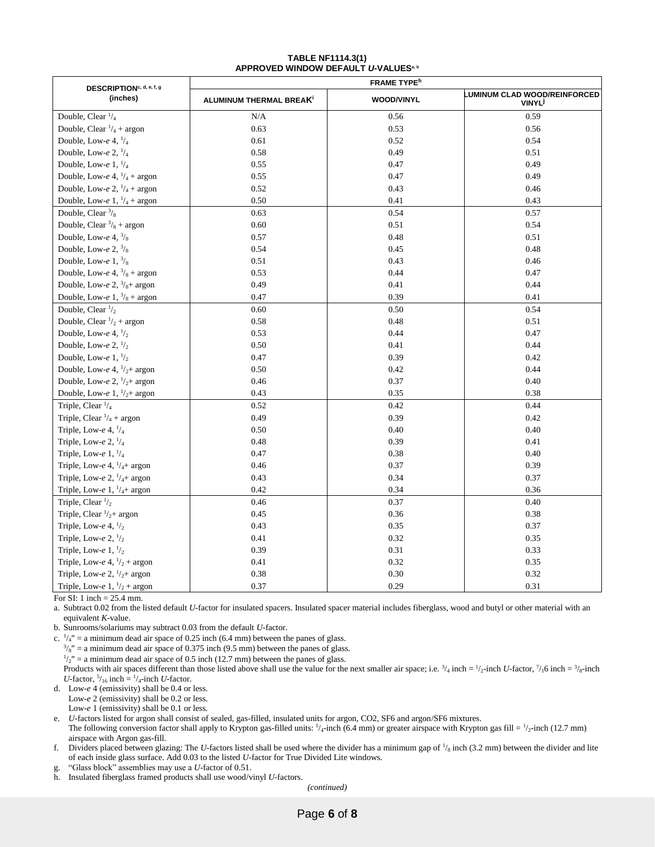#### **TABLE NF1114.3(1) APPROVED WINDOW DEFAULT** *U***-VALUESa, b**

| DESCRIPTION <sup>c, d, e, f, g</sup>   | <b>FRAME TYPE<sup>h</sup></b>       |                   |                                                                |  |  |
|----------------------------------------|-------------------------------------|-------------------|----------------------------------------------------------------|--|--|
| (inches)                               | ALUMINUM THERMAL BREAK <sup>1</sup> | <b>WOOD/VINYL</b> | <b>UMINUM CLAD WOOD/REINFORCED</b><br><b>VINYL<sup>J</sup></b> |  |  |
| Double, Clear $\frac{1}{4}$            | N/A                                 | 0.56              | 0.59                                                           |  |  |
| Double, Clear $\frac{1}{4}$ + argon    | 0.63                                | 0.53              | 0.56                                                           |  |  |
| Double, Low-e 4, $\frac{1}{4}$         | 0.61                                | 0.52              | 0.54                                                           |  |  |
| Double, Low-e 2, $\frac{1}{4}$         | 0.58                                | 0.49              | 0.51                                                           |  |  |
| Double, Low-e 1, $\frac{1}{4}$         | 0.55                                | 0.47              | 0.49                                                           |  |  |
| Double, Low-e 4, $\frac{1}{4}$ + argon | 0.55                                | 0.47              | 0.49                                                           |  |  |
| Double, Low-e 2, $\frac{1}{4}$ + argon | 0.52                                | 0.43              | 0.46                                                           |  |  |
| Double, Low-e 1, $\frac{1}{4}$ + argon | 0.50                                | 0.41              | 0.43                                                           |  |  |
| Double, Clear $\frac{3}{8}$            | 0.63                                | 0.54              | 0.57                                                           |  |  |
| Double, Clear $\frac{3}{8}$ + argon    | 0.60                                | 0.51              | 0.54                                                           |  |  |
| Double, Low-e 4, $\frac{3}{8}$         | 0.57                                | 0.48              | 0.51                                                           |  |  |
| Double, Low-e 2, $\frac{3}{8}$         | 0.54                                | 0.45              | 0.48                                                           |  |  |
| Double, Low-e 1, $\frac{3}{8}$         | 0.51                                | 0.43              | 0.46                                                           |  |  |
| Double, Low-e 4, $\frac{3}{8}$ + argon | 0.53                                | 0.44              | 0.47                                                           |  |  |
| Double, Low-e 2, $\frac{3}{8}$ + argon | 0.49                                | 0.41              | 0.44                                                           |  |  |
| Double, Low-e 1, $\frac{3}{8}$ + argon | 0.47                                | 0.39              | 0.41                                                           |  |  |
| Double, Clear $\frac{1}{2}$            | 0.60                                | 0.50              | 0.54                                                           |  |  |
| Double, Clear $\frac{1}{2}$ + argon    | 0.58                                | 0.48              | 0.51                                                           |  |  |
| Double, Low-e 4, $\frac{1}{2}$         | 0.53                                | 0.44              | 0.47                                                           |  |  |
| Double, Low-e 2, $\frac{1}{2}$         | 0.50                                | 0.41              | 0.44                                                           |  |  |
| Double, Low-e 1, $\frac{1}{2}$         | 0.47                                | 0.39              | 0.42                                                           |  |  |
| Double, Low-e 4, $1/2$ + argon         | 0.50                                | 0.42              | 0.44                                                           |  |  |
| Double, Low-e 2, $1/2$ + argon         | 0.46                                | 0.37              | 0.40                                                           |  |  |
| Double, Low-e 1, $\frac{1}{2}$ argon   | 0.43                                | 0.35              | 0.38                                                           |  |  |
| Triple, Clear $\frac{1}{4}$            | 0.52                                | 0.42              | 0.44                                                           |  |  |
| Triple, Clear $\frac{1}{4}$ + argon    | 0.49                                | 0.39              | 0.42                                                           |  |  |
| Triple, Low-e $4, \frac{1}{4}$         | 0.50                                | 0.40              | 0.40                                                           |  |  |
| Triple, Low-e $2, \frac{1}{4}$         | 0.48                                | 0.39              | 0.41                                                           |  |  |
| Triple, Low-e $1, \frac{1}{4}$         | 0.47                                | 0.38              | 0.40                                                           |  |  |
| Triple, Low-e 4, $\frac{1}{4}$ argon   | 0.46                                | 0.37              | 0.39                                                           |  |  |
| Triple, Low-e 2, $\frac{1}{4}$ argon   | 0.43                                | 0.34              | 0.37                                                           |  |  |
| Triple, Low-e 1, $\frac{1}{4}$ argon   | 0.42                                | 0.34              | 0.36                                                           |  |  |
| Triple, Clear $\frac{1}{2}$            | 0.46                                | 0.37              | 0.40                                                           |  |  |
| Triple, Clear $\frac{1}{2}$ argon      | 0.45                                | 0.36              | 0.38                                                           |  |  |
| Triple, Low-e 4, $\frac{1}{2}$         | 0.43                                | 0.35              | 0.37                                                           |  |  |
| Triple, Low-e 2, $\frac{1}{2}$         | 0.41                                | 0.32              | 0.35                                                           |  |  |
| Triple, Low-e $1, \frac{1}{2}$         | 0.39                                | 0.31              | 0.33                                                           |  |  |
| Triple, Low-e 4, $\frac{1}{2}$ + argon | 0.41                                | 0.32              | 0.35                                                           |  |  |
| Triple, Low-e 2, $\frac{1}{2}$ argon   | 0.38                                | 0.30              | 0.32                                                           |  |  |
| Triple, Low-e 1, $\frac{1}{2}$ + argon | 0.37                                | 0.29              | 0.31                                                           |  |  |

For SI: 1 inch = 25.4 mm.

a. Subtract 0.02 from the listed default *U*-factor for insulated spacers. Insulated spacer material includes fiberglass, wood and butyl or other material with an equivalent *K*-value.

b. Sunrooms/solariums may subtract 0.03 from the default *U*-factor.

c.  $\frac{1}{4}$  = a minimum dead air space of 0.25 inch (6.4 mm) between the panes of glass.

 $\frac{3}{8}$ " = a minimum dead air space of 0.375 inch (9.5 mm) between the panes of glass.

 $1/2"$  = a minimum dead air space of 0.5 inch (12.7 mm) between the panes of glass.

Products with air spaces different than those listed above shall use the value for the next smaller air space; i.e.  $\frac{3}{4}$  inch  $= \frac{1}{2}$ -inch *U*-factor,  $\frac{7}{10}$  inch  $= \frac{3}{8}$ -inch *U*-factor,  $\frac{5}{16}$  inch =  $\frac{1}{4}$ -inch *U*-factor.

d. Low-*e* 4 (emissivity) shall be 0.4 or less.

Low-*e* 2 (emissivity) shall be 0.2 or less.

Low-*e* 1 (emissivity) shall be 0.1 or less.

e. *U*-factors listed for argon shall consist of sealed, gas-filled, insulated units for argon, CO2, SF6 and argon/SF6 mixtures.

The following conversion factor shall apply to Krypton gas-filled units:  $1/4$ -inch (6.4 mm) or greater airspace with Krypton gas fill =  $1/2$ -inch (12.7 mm) airspace with Argon gas-fill.

f. Dividers placed between glazing: The *U*-factors listed shall be used where the divider has a minimum gap of  $\frac{1}{8}$  inch (3.2 mm) between the divider and lite of each inside glass surface. Add 0.03 to the listed *U*-factor for True Divided Lite windows.

g. "Glass block" assemblies may use a *U*-factor of 0.51.

h. Insulated fiberglass framed products shall use wood/vinyl *U*-factors.

*(continued)*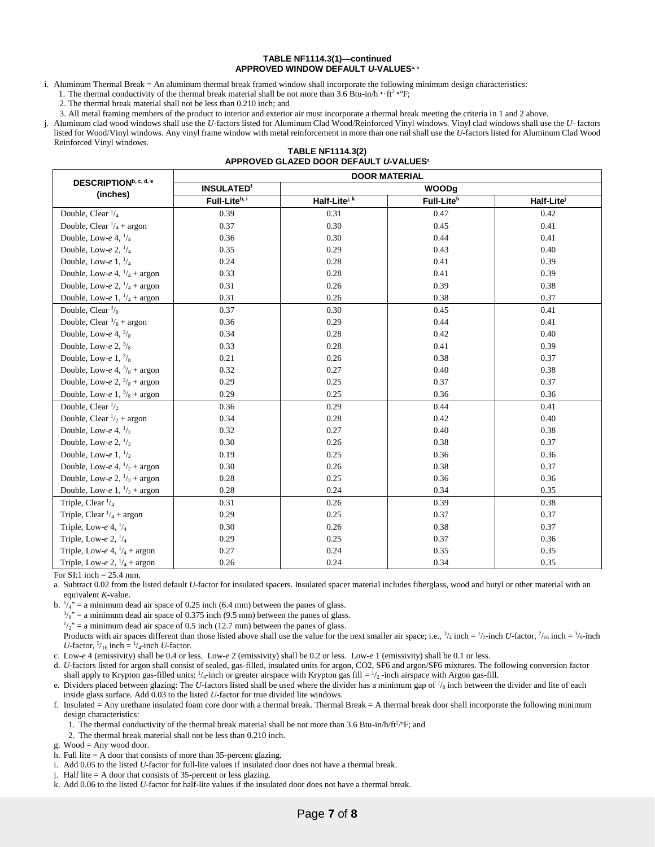#### **TABLE NF1114.3(1)—continued APPROVED WINDOW DEFAULT** *U***-VALUESa, b**

i. Aluminum Thermal Break = An aluminum thermal break framed window shall incorporate the following minimum design characteristics:

1. The thermal conductivity of the thermal break material shall be not more than  $3.\overline{6}$  Btu-in/h  $\cdot$  ·ft<sup>2</sup> ·<sup>o</sup>F;

2. The thermal break material shall not be less than 0.210 inch; and

3. All metal framing members of the product to interior and exterior air must incorporate a thermal break meeting the criteria in 1 and 2 above.

j. Aluminum clad wood windows shall use the *U*-factors listed for Aluminum Clad Wood/Reinforced Vinyl windows. Vinyl clad windows shall use the *U*- factors listed for Wood/Vinyl windows. Any vinyl frame window with metal reinforcement in more than one rail shall use the *U*-factors listed for Aluminum Clad Wood Reinforced Vinyl windows.

|  | <b>TABLE NF1114.3(2)</b>                           |  |
|--|----------------------------------------------------|--|
|  | APPROVED GLAZED DOOR DEFAULT U-VALUES <sup>®</sup> |  |

| DESCRIPTION <sup>b, c, d, e</sup>      | <b>DOOR MATERIAL</b>         |                         |                        |                        |  |  |
|----------------------------------------|------------------------------|-------------------------|------------------------|------------------------|--|--|
| (inches)                               | <b>INSULATED<sup>®</sup></b> |                         | <b>WOODg</b>           |                        |  |  |
|                                        | Full-Liteh, i                | Half-Litei <sup>k</sup> | Full-Lite <sup>h</sup> | Half-Lite <sup>j</sup> |  |  |
| Double, Clear $\frac{1}{4}$            | 0.39                         | 0.31                    | 0.47                   | 0.42                   |  |  |
| Double, Clear $\frac{1}{4}$ + argon    | 0.37                         | 0.30                    | 0.45                   | 0.41                   |  |  |
| Double, Low-e 4, $\frac{1}{4}$         | 0.36                         | 0.30                    | 0.44                   | 0.41                   |  |  |
| Double, Low-e 2, $\frac{1}{4}$         | 0.35                         | 0.29                    | 0.43                   | 0.40                   |  |  |
| Double, Low-e $1, \frac{1}{4}$         | 0.24                         | 0.28                    | 0.41                   | 0.39                   |  |  |
| Double, Low-e 4, $\frac{1}{4}$ + argon | 0.33                         | 0.28                    | 0.41                   | 0.39                   |  |  |
| Double, Low-e 2, $\frac{1}{4}$ + argon | 0.31                         | 0.26                    | 0.39                   | 0.38                   |  |  |
| Double, Low-e 1, $\frac{1}{4}$ + argon | 0.31                         | 0.26                    | 0.38                   | 0.37                   |  |  |
| Double, Clear $\frac{3}{8}$            | 0.37                         | 0.30                    | 0.45                   | 0.41                   |  |  |
| Double, Clear $\frac{3}{8}$ + argon    | 0.36                         | 0.29                    | 0.44                   | 0.41                   |  |  |
| Double, Low-e $4, \frac{3}{8}$         | 0.34                         | 0.28                    | 0.42                   | 0.40                   |  |  |
| Double, Low-e 2, $\frac{3}{8}$         | 0.33                         | 0.28                    | 0.41                   | 0.39                   |  |  |
| Double, Low-e $1, \frac{3}{8}$         | 0.21                         | 0.26                    | 0.38                   | 0.37                   |  |  |
| Double, Low-e 4, $\frac{3}{8}$ + argon | 0.32                         | 0.27                    | 0.40                   | 0.38                   |  |  |
| Double, Low-e 2, $\frac{3}{8}$ + argon | 0.29                         | 0.25                    | 0.37                   | 0.37                   |  |  |
| Double, Low-e 1, $\frac{3}{8}$ + argon | 0.29                         | 0.25                    | 0.36                   | 0.36                   |  |  |
| Double, Clear $\frac{1}{2}$            | 0.36                         | 0.29                    | 0.44                   | 0.41                   |  |  |
| Double, Clear $\frac{1}{2}$ + argon    | 0.34                         | 0.28                    | 0.42                   | 0.40                   |  |  |
| Double, Low-e 4, $\frac{1}{2}$         | 0.32                         | 0.27                    | 0.40                   | 0.38                   |  |  |
| Double, Low-e 2, $\frac{1}{2}$         | 0.30                         | 0.26                    | 0.38                   | 0.37                   |  |  |
| Double, Low-e $1, \frac{1}{2}$         | 0.19                         | 0.25                    | 0.36                   | 0.36                   |  |  |
| Double, Low-e 4, $\frac{1}{2}$ + argon | 0.30                         | 0.26                    | 0.38                   | 0.37                   |  |  |
| Double, Low-e 2, $\frac{1}{2}$ + argon | 0.28                         | 0.25                    | 0.36                   | 0.36                   |  |  |
| Double, Low-e $1, \frac{1}{2}$ + argon | 0.28                         | 0.24                    | 0.34                   | 0.35                   |  |  |
| Triple, Clear $\frac{1}{4}$            | 0.31                         | 0.26                    | 0.39                   | 0.38                   |  |  |
| Triple, Clear $\frac{1}{4}$ + argon    | 0.29                         | 0.25                    | 0.37                   | 0.37                   |  |  |
| Triple, Low-e 4, $\frac{1}{4}$         | 0.30                         | 0.26                    | 0.38                   | 0.37                   |  |  |
| Triple, Low-e $2, \frac{1}{4}$         | 0.29                         | 0.25                    | 0.37                   | 0.36                   |  |  |
| Triple, Low-e 4, $\frac{1}{4}$ + argon | 0.27                         | 0.24                    | 0.35                   | 0.35                   |  |  |
| Triple, Low-e 2, $\frac{1}{4}$ + argon | 0.26                         | 0.24                    | 0.34                   | 0.35                   |  |  |

For  $SI:1$  inch = 25.4 mm.

a. Subtract 0.02 from the listed default *U*-factor for insulated spacers. Insulated spacer material includes fiberglass, wood and butyl or other material with an equivalent *K*-value.

b.  $\frac{1}{4}$  = a minimum dead air space of 0.25 inch (6.4 mm) between the panes of glass.

 $\frac{3}{8}$ " = a minimum dead air space of 0.375 inch (9.5 mm) between the panes of glass.

 $1/2$ " = a minimum dead air space of 0.5 inch (12.7 mm) between the panes of glass.

Products with air spaces different than those listed above shall use the value for the next smaller air space; i.e.,  $\frac{3}{4}$  inch =  $\frac{1}{2}$ -inch *U*-factor,  $\frac{7}{16}$  inch =  $\frac{3}{8}$ -inch *U*-factor,  $\frac{5}{16}$  inch =  $\frac{1}{4}$ -inch *U*-factor.

c. Low-*e* 4 (emissivity) shall be 0.4 or less. Low-*e* 2 (emissivity) shall be 0.2 or less. Low-*e* 1 (emissivity) shall be 0.1 or less.

d. *U*-factors listed for argon shall consist of sealed, gas-filled, insulated units for argon, CO2, SF6 and argon/SF6 mixtures. The following conversion factor shall apply to Krypton gas-filled units:  $\frac{1}{4}$ -inch or greater airspace with Krypton gas fill =  $\frac{1}{2}$ -inch airspace with Argon gas-fill.

e. Dividers placed between glazing: The U-factors listed shall be used where the divider has a minimum gap of  $\frac{1}{s}$  inch between the divider and lite of each inside glass surface. Add 0.03 to the listed *U*-factor for true divided lite windows.

f. Insulated = Any urethane insulated foam core door with a thermal break. Thermal Break = A thermal break door shall incorporate the following minimum design characteristics:

1. The thermal conductivity of the thermal break material shall be not more than 3.6 Btu-in/h/ft<sup>2</sup>/°F; and

2. The thermal break material shall not be less than 0.210 inch.

g. Wood = Any wood door.

h. Full lite = A door that consists of more than 35-percent glazing.

i. Add 0.05 to the listed *U*-factor for full-lite values if insulated door does not have a thermal break.

j. Half lite = A door that consists of 35-percent or less glazing.

k. Add 0.06 to the listed *U*-factor for half-lite values if the insulated door does not have a thermal break.